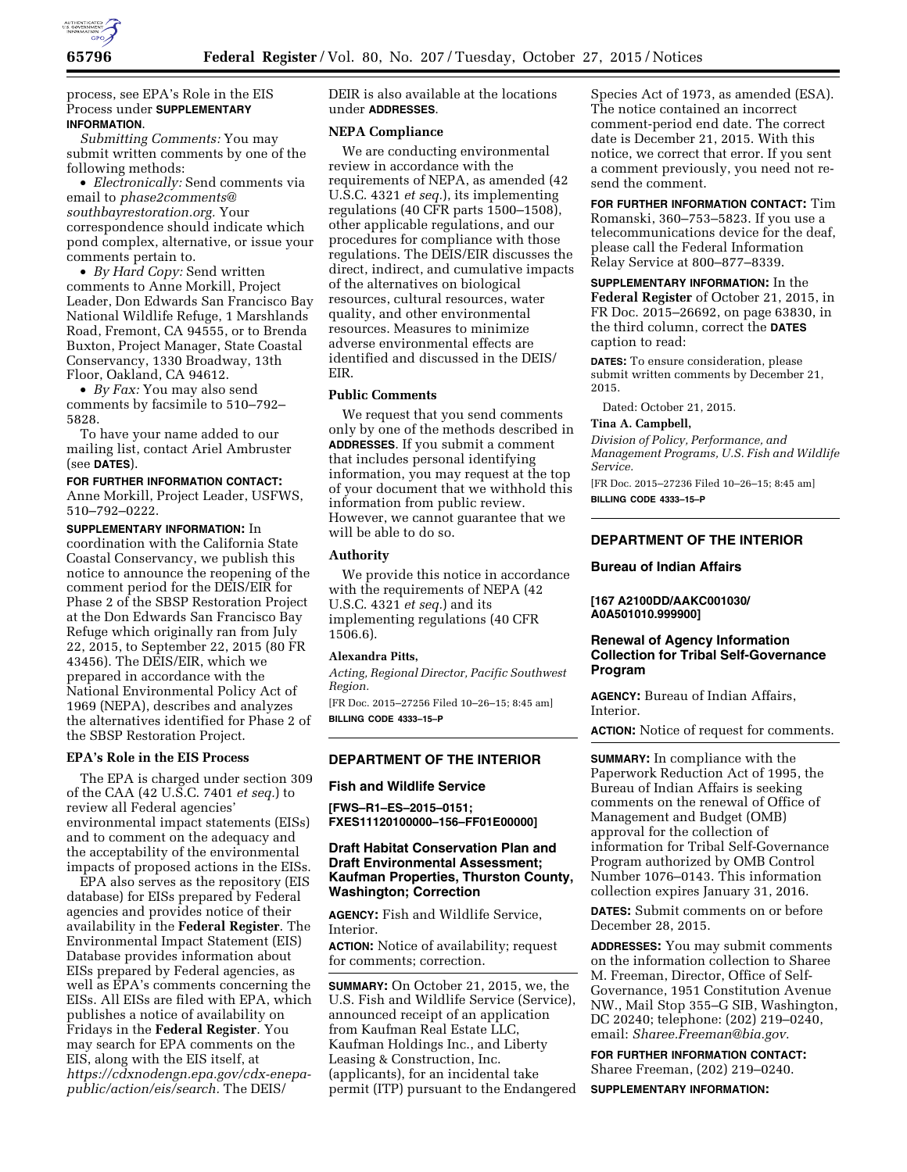

## process, see EPA's Role in the EIS Process under **SUPPLEMENTARY INFORMATION**.

*Submitting Comments:* You may submit written comments by one of the following methods:

• *Electronically:* Send comments via email to *[phase2comments@](mailto:phase2comments@southbayrestoration.org) [southbayrestoration.org.](mailto:phase2comments@southbayrestoration.org)* Your correspondence should indicate which pond complex, alternative, or issue your comments pertain to.

• *By Hard Copy:* Send written comments to Anne Morkill, Project Leader, Don Edwards San Francisco Bay National Wildlife Refuge, 1 Marshlands Road, Fremont, CA 94555, or to Brenda Buxton, Project Manager, State Coastal Conservancy, 1330 Broadway, 13th Floor, Oakland, CA 94612.

• *By Fax:* You may also send comments by facsimile to 510–792– 5828.

To have your name added to our mailing list, contact Ariel Ambruster (see **DATES**).

# **FOR FURTHER INFORMATION CONTACT:**

Anne Morkill, Project Leader, USFWS, 510–792–0222.

**SUPPLEMENTARY INFORMATION:** In coordination with the California State Coastal Conservancy, we publish this notice to announce the reopening of the comment period for the DEIS/EIR for Phase 2 of the SBSP Restoration Project at the Don Edwards San Francisco Bay Refuge which originally ran from July 22, 2015, to September 22, 2015 (80 FR 43456). The DEIS/EIR, which we prepared in accordance with the National Environmental Policy Act of 1969 (NEPA), describes and analyzes the alternatives identified for Phase 2 of the SBSP Restoration Project.

#### **EPA's Role in the EIS Process**

The EPA is charged under section 309 of the CAA (42 U.S.C. 7401 *et seq.*) to review all Federal agencies' environmental impact statements (EISs) and to comment on the adequacy and the acceptability of the environmental impacts of proposed actions in the EISs.

EPA also serves as the repository (EIS database) for EISs prepared by Federal agencies and provides notice of their availability in the **Federal Register**. The Environmental Impact Statement (EIS) Database provides information about EISs prepared by Federal agencies, as well as EPA's comments concerning the EISs. All EISs are filed with EPA, which publishes a notice of availability on Fridays in the **Federal Register**. You may search for EPA comments on the EIS, along with the EIS itself, at *[https://cdxnodengn.epa.gov/cdx-enepa](https://cdxnodengn.epa.gov/cdx-enepa-public/action/eis/search)[public/action/eis/search.](https://cdxnodengn.epa.gov/cdx-enepa-public/action/eis/search)* The DEIS/

DEIR is also available at the locations under **ADDRESSES**.

## **NEPA Compliance**

We are conducting environmental review in accordance with the requirements of NEPA, as amended (42 U.S.C. 4321 *et seq.*), its implementing regulations (40 CFR parts 1500–1508), other applicable regulations, and our procedures for compliance with those regulations. The DEIS/EIR discusses the direct, indirect, and cumulative impacts of the alternatives on biological resources, cultural resources, water quality, and other environmental resources. Measures to minimize adverse environmental effects are identified and discussed in the DEIS/ EIR.

### **Public Comments**

We request that you send comments only by one of the methods described in **ADDRESSES**. If you submit a comment that includes personal identifying information, you may request at the top of your document that we withhold this information from public review. However, we cannot guarantee that we will be able to do so.

## **Authority**

We provide this notice in accordance with the requirements of NEPA (42 U.S.C. 4321 *et seq.*) and its implementing regulations (40 CFR 1506.6).

## **Alexandra Pitts,**

*Acting, Regional Director, Pacific Southwest Region.* 

[FR Doc. 2015–27256 Filed 10–26–15; 8:45 am] **BILLING CODE 4333–15–P** 

## **DEPARTMENT OF THE INTERIOR**

### **Fish and Wildlife Service**

**[FWS–R1–ES–2015–0151; FXES11120100000–156–FF01E00000]** 

# **Draft Habitat Conservation Plan and Draft Environmental Assessment; Kaufman Properties, Thurston County, Washington; Correction**

**AGENCY:** Fish and Wildlife Service, Interior.

**ACTION:** Notice of availability; request for comments; correction.

**SUMMARY:** On October 21, 2015, we, the U.S. Fish and Wildlife Service (Service), announced receipt of an application from Kaufman Real Estate LLC, Kaufman Holdings Inc., and Liberty Leasing & Construction, Inc. (applicants), for an incidental take permit (ITP) pursuant to the Endangered

Species Act of 1973, as amended (ESA). The notice contained an incorrect comment-period end date. The correct date is December 21, 2015. With this notice, we correct that error. If you sent a comment previously, you need not resend the comment.

**FOR FURTHER INFORMATION CONTACT:** Tim Romanski, 360–753–5823. If you use a telecommunications device for the deaf, please call the Federal Information Relay Service at 800–877–8339.

**SUPPLEMENTARY INFORMATION:** In the **Federal Register** of October 21, 2015, in FR Doc. 2015–26692, on page 63830, in the third column, correct the **DATES** caption to read:

**DATES:** To ensure consideration, please submit written comments by December 21, 2015.

Dated: October 21, 2015.

### **Tina A. Campbell,**

*Division of Policy, Performance, and Management Programs, U.S. Fish and Wildlife Service.* 

[FR Doc. 2015–27236 Filed 10–26–15; 8:45 am] **BILLING CODE 4333–15–P** 

# **DEPARTMENT OF THE INTERIOR**

## **Bureau of Indian Affairs**

### **[167 A2100DD/AAKC001030/ A0A501010.999900]**

# **Renewal of Agency Information Collection for Tribal Self-Governance Program**

**AGENCY:** Bureau of Indian Affairs, Interior.

**ACTION:** Notice of request for comments.

**SUMMARY:** In compliance with the Paperwork Reduction Act of 1995, the Bureau of Indian Affairs is seeking comments on the renewal of Office of Management and Budget (OMB) approval for the collection of information for Tribal Self-Governance Program authorized by OMB Control Number 1076–0143. This information collection expires January 31, 2016.

**DATES:** Submit comments on or before December 28, 2015.

**ADDRESSES:** You may submit comments on the information collection to Sharee M. Freeman, Director, Office of Self-Governance, 1951 Constitution Avenue NW., Mail Stop 355–G SIB, Washington, DC 20240; telephone: (202) 219–0240, email: *[Sharee.Freeman@bia.gov.](mailto:Sharee.Freeman@bia.gov)* 

**FOR FURTHER INFORMATION CONTACT:**  Sharee Freeman, (202) 219–0240.

**SUPPLEMENTARY INFORMATION:**